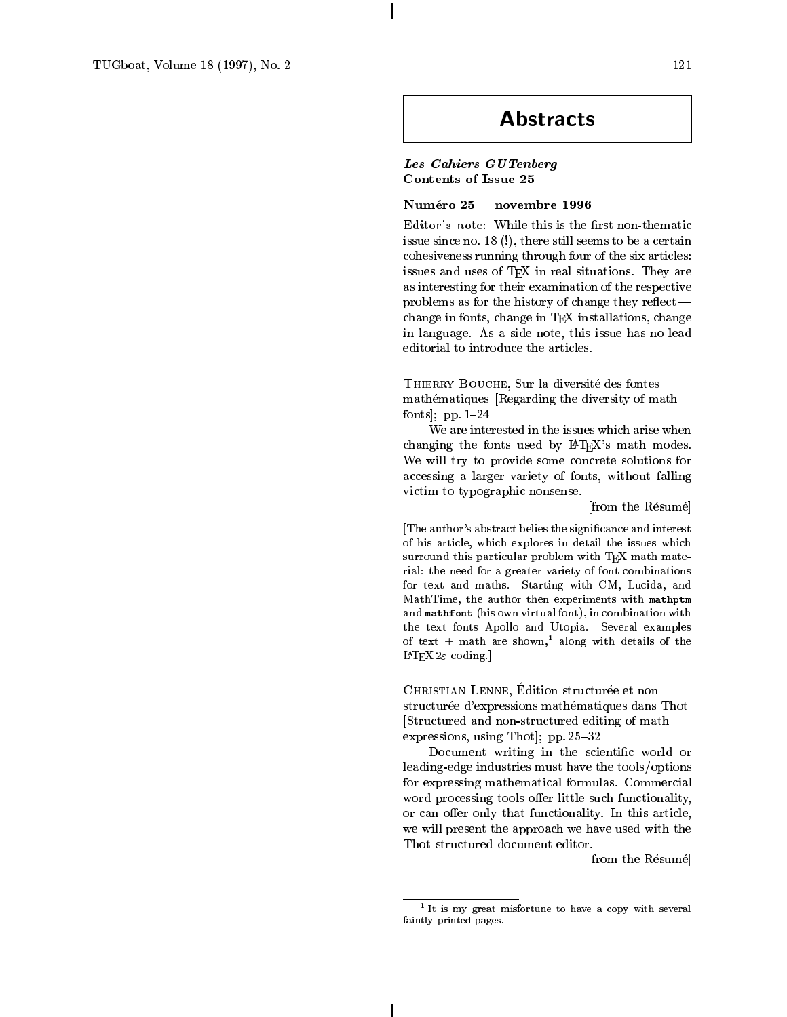## **Abstracts**

Les Cahiers GUTenberg Contents of Issue 25

## Numéro 25 — novembre 1996

Editor's note: While this is the first non-thematic issue since no. 18 (!), there still seems to be a certain cohesiveness running through four of the six articles: issues and uses of TEX in real situations. They are as interesting for their examination of the respective problems as for the history of change they reflect  $$ change in fonts, change in TEX installations, change in language. As a side note, this issue has no lead editorial to introduce the articles.

THIERRY BOUCHE, Sur la diversité des fontes mathematiques [Regarding the diversity of math fonts]; pp.  $1-24$ 

We are interested in the issues which arise when changing the fonts used by LATEX's math modes. We will try to provide some concrete solutions for accessing a larger variety of fonts, without falling victim to typographic nonsense.

[from the Résumé]

[The author's abstract belies the signicance and interest of his article, which explores in detail the issues which surround this particular problem with TEX math material: the need for a greater variety of font combinations for text and maths. Starting with CM, Lucida, and MathTime, the author then experiments with mathptm and mathfont (his own virtual font), in combination with the text fonts Apollo and Utopia. Several examples of text + math are shown,<sup>1</sup> along with details of the L<sup>AT</sup>EX  $2\varepsilon$  coding.]

CHRISTIAN LENNE, Edition structurée et non structurée d'expressions mathématiques dans Thot [Structured and non-structured editing of math expressions, using Thot]; pp.  $25{-}32$ 

Document writing in the scientific world or leading-edge industries must have the tools/options for expressing mathematical formulas. Commercial word processing tools offer little such functionality, or can offer only that functionality. In this article, we will present the approach we have used with the Thot structured document editor.

[from the Resume]

121

 $^1$  It is my great misfortune to have a copy with several faintly printed pages.